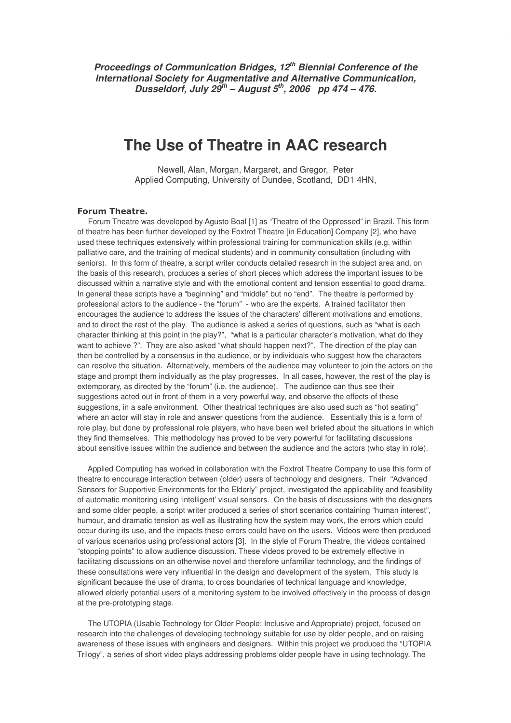*Proceedings of Communication Bridges, 12 th Biennial Conference of the International Society for Augmentative and Alternative Communication, Dusseldorf, July 29 th – August 5 th , 2006 pp 474 – 476.*

# **The Use of Theatre in AAC research**

Newell, Alan, Morgan, Margaret, and Gregor, Peter Applied Computing, University of Dundee, Scotland, DD1 4HN,

### **Forum Theatre.**

Forum Theatre was developed by Agusto Boal [1] as "Theatre of the Oppressed" in Brazil. This form of theatre has been further developed by the Foxtrot Theatre [in Education] Company [2], who have used these techniques extensively within professional training for communication skills (e.g. within palliative care, and the training of medical students) and in community consultation (including with seniors). In this form of theatre, a script writer conducts detailed research in the subject area and, on the basis of this research, produces a series of short pieces which address the important issues to be discussed within a narrative style and with the emotional content and tension essential to good drama. In general these scripts have a "beginning" and "middle" but no "end". The theatre is performed by professional actors to the audience - the "forum" - who are the experts. A trained facilitator then encourages the audience to address the issues of the characters' different motivations and emotions, and to direct the rest of the play. The audience is asked a series of questions, such as "what is each character thinking at this point in the play?", "what is a particular character's motivation, what do they want to achieve ?". They are also asked "what should happen next?". The direction of the play can then be controlled by a consensus in the audience, or by individuals who suggest how the characters can resolve the situation. Alternatively, members of the audience may volunteer to join the actors on the stage and prompt them individually as the play progresses. In all cases, however, the rest of the play is extemporary, as directed by the "forum" (i.e. the audience). The audience can thus see their suggestions acted out in front of them in a very powerful way, and observe the effects of these suggestions, in a safe environment. Other theatrical techniques are also used such as "hot seating" where an actor will stay in role and answer questions from the audience. Essentially this is a form of role play, but done by professional role players, who have been well briefed about the situations in which they find themselves. This methodology has proved to be very powerful for facilitating discussions about sensitive issues within the audience and between the audience and the actors (who stay in role).

Applied Computing has worked in collaboration with the Foxtrot Theatre Company to use this form of theatre to encourage interaction between (older) users of technology and designers. Their "Advanced Sensors for Supportive Environments for the Elderly" project, investigated the applicability and feasibility of automatic monitoring using 'intelligent' visual sensors. On the basis of discussions with the designers and some older people, a script writer produced a series of short scenarios containing "human interest", humour, and dramatic tension as well as illustrating how the system may work, the errors which could occur during its use, and the impacts these errors could have on the users. Videos were then produced of various scenarios using professional actors [3]. In the style of Forum Theatre, the videos contained "stopping points" to allow audience discussion. These videos proved to be extremely effective in facilitating discussions on an otherwise novel and therefore unfamiliar technology, and the findings of these consultations were very influential in the design and development of the system. This study is significant because the use of drama, to cross boundaries of technical language and knowledge, allowed elderly potential users of a monitoring system to be involved effectively in the process of design at the pre-prototyping stage.

The UTOPIA (Usable Technology for Older People: Inclusive and Appropriate) project, focused on research into the challenges of developing technology suitable for use by older people, and on raising awareness of these issues with engineers and designers. Within this project we produced the "UTOPIA Trilogy", a series of short video plays addressing problems older people have in using technology. The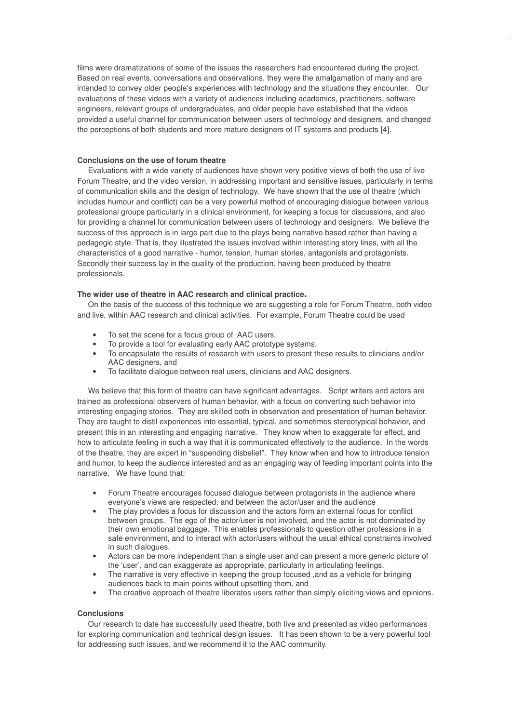films were dramatizations of some of the issues the researchers had encountered during the project. Based on real events, conversations and observations, they were the amalgamation of many and are intended to convey older people's experiences with technology and the situations they encounter. Our evaluations of these videos with a variety of audiences including academics, practitioners, software engineers, relevant groups of undergraduates, and older people have established that the videos provided a useful channel for communication between users of technology and designers, and changed the perceptions of both students and more mature designers of IT systems and products [4].

j

## **Conclusions on the use of forum theatre**

Evaluations with a wide variety of audiences have shown very positive views of both the use of live Forum Theatre, and the video version, in addressing important and sensitive issues, particularly in terms of communication skills and the design of technology. We have shown that the use of theatre (which includes humour and conflict) can be a very powerful method of encouraging dialogue between various professional groups particularly in a clinical environment, for keeping a focus for discussions, and also for providing a channel for communication between users of technology and designers. We believe the success of this approach is in large part due to the plays being narrative based rather than having a pedagogic style. That is, they illustrated the issues involved within interesting story lines, with all the characteristics of a good narrative - humor, tension, human stories, antagonists and protagonists. Secondly their success lay in the quality of the production, having been produced by theatre professionals.

#### **The wider use of theatre in AAC research and clinical practice**

On the basis of the success of this technique we are suggesting a role for Forum Theatre, both video and live, within AAC research and clinical activities. For example, Forum Theatre could be used

- To set the scene for a focus group of AAC users,
- To provide a tool for evaluating early AAC prototype systems,
- To encapsulate the results of research with users to present these results to clinicians and/or AAC designers, and
- To facilitate dialogue between real users, clinicians and AAC designers.

We believe that this form of theatre can have significant advantages. Script writers and actors are trained as professional observers of human behavior, with a focus on converting such behavior into interesting engaging stories. They are skilled both in observation and presentation of human behavior. They are taught to distil experiences into essential, typical, and sometimes stereotypical behavior, and present this in an interesting and engaging narrative. They know when to exaggerate for effect, and how to articulate feeling in such a way that it is communicated effectively to the audience. In the words of the theatre, they are expert in "suspending disbelief". They know when and how to introduce tension and humor, to keep the audience interested and as an engaging way of feeding important points into the narrative. We have found that:

- Forum Theatre encourages focused dialogue between protagonists in the audience where everyone's views are respected, and between the actor/user and the audience
- The play provides a focus for discussion and the actors form an external focus for conflict between groups. The ego of the actor/user is not involved, and the actor is not dominated by their own emotional baggage. This enables professionals to question other professions in a safe environment, and to interact with actor/users without the usual ethical constraints involved in such dialogues.
- Actors can be more independent than a single user and can present a more generic picture of the 'user', and can exaggerate as appropriate, particularly in articulating feelings.
- The narrative is very effective in keeping the group focused , and as a vehicle for bringing audiences back to main points without upsetting them, and
- The creative approach of theatre liberates users rather than simply eliciting views and opinions.

#### **Conclusions**

Our research to date has successfully used theatre, both live and presented as video performances for exploring communication and technical design issues. It has been shown to be a very powerful tool for addressing such issues, and we recommend it to the AAC community.